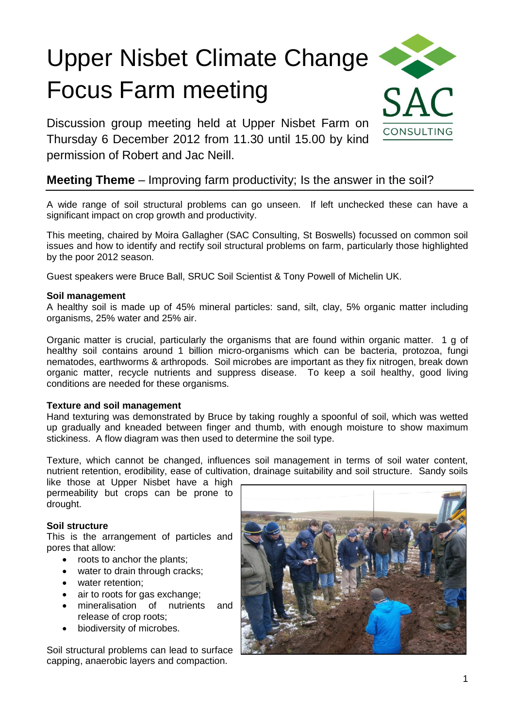# Upper Nisbet Climate Change Focus Farm meeting

Discussion group meeting held at Upper Nisbet Farm on Thursday 6 December 2012 from 11.30 until 15.00 by kind permission of Robert and Jac Neill.

# **Meeting Theme** – Improving farm productivity; Is the answer in the soil?

A wide range of soil structural problems can go unseen. If left unchecked these can have a significant impact on crop growth and productivity.

This meeting, chaired by Moira Gallagher (SAC Consulting, St Boswells) focussed on common soil issues and how to identify and rectify soil structural problems on farm, particularly those highlighted by the poor 2012 season.

Guest speakers were Bruce Ball, SRUC Soil Scientist & Tony Powell of Michelin UK.

# **Soil management**

A healthy soil is made up of 45% mineral particles: sand, silt, clay, 5% organic matter including organisms, 25% water and 25% air.

Organic matter is crucial, particularly the organisms that are found within organic matter. 1 g of healthy soil contains around 1 billion micro-organisms which can be bacteria, protozoa, fungi nematodes, earthworms & arthropods. Soil microbes are important as they fix nitrogen, break down organic matter, recycle nutrients and suppress disease. To keep a soil healthy, good living conditions are needed for these organisms.

# **Texture and soil management**

Hand texturing was demonstrated by Bruce by taking roughly a spoonful of soil, which was wetted up gradually and kneaded between finger and thumb, with enough moisture to show maximum stickiness. A flow diagram was then used to determine the soil type.

Texture, which cannot be changed, influences soil management in terms of soil water content, nutrient retention, erodibility, ease of cultivation, drainage suitability and soil structure. Sandy soils

like those at Upper Nisbet have a high permeability but crops can be prone to drought.

# **Soil structure**

This is the arrangement of particles and pores that allow:

- roots to anchor the plants;
- water to drain through cracks;
- water retention:
- air to roots for gas exchange;
- mineralisation of nutrients and release of crop roots;
- biodiversity of microbes.

Soil structural problems can lead to surface capping, anaerobic layers and compaction.



CONSULTING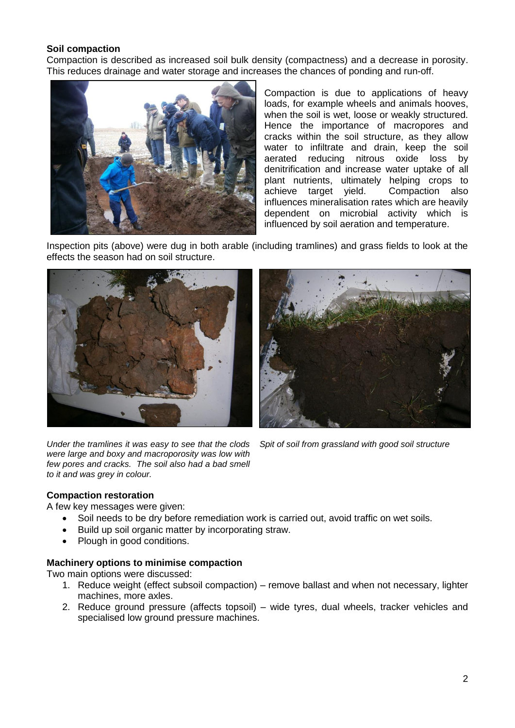# **Soil compaction**

Compaction is described as increased soil bulk density (compactness) and a decrease in porosity. This reduces drainage and water storage and increases the chances of ponding and run-off.



Compaction is due to applications of heavy loads, for example wheels and animals hooves, when the soil is wet, loose or weakly structured. Hence the importance of macropores and cracks within the soil structure, as they allow water to infiltrate and drain, keep the soil aerated reducing nitrous oxide loss by denitrification and increase water uptake of all plant nutrients, ultimately helping crops to achieve target yield. Compaction also influences mineralisation rates which are heavily dependent on microbial activity which is influenced by soil aeration and temperature.

Inspection pits (above) were dug in both arable (including tramlines) and grass fields to look at the effects the season had on soil structure.



*Under the tramlines it was easy to see that the clods were large and boxy and macroporosity was low with few pores and cracks. The soil also had a bad smell to it and was grey in colour.*

*Spit of soil from grassland with good soil structure*

# **Compaction restoration**

A few key messages were given:

- Soil needs to be dry before remediation work is carried out, avoid traffic on wet soils.
- Build up soil organic matter by incorporating straw.
- Plough in good conditions.

# **Machinery options to minimise compaction**

Two main options were discussed:

- 1. Reduce weight (effect subsoil compaction) remove ballast and when not necessary, lighter machines, more axles.
- 2. Reduce ground pressure (affects topsoil) wide tyres, dual wheels, tracker vehicles and specialised low ground pressure machines.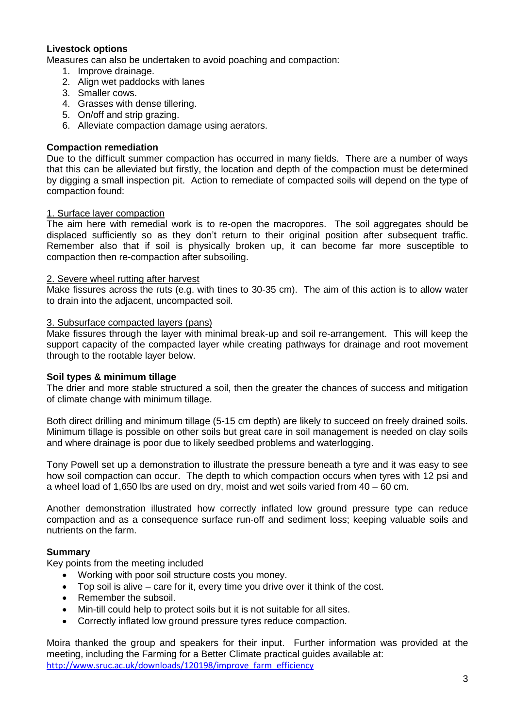# **Livestock options**

Measures can also be undertaken to avoid poaching and compaction:

- 1. Improve drainage.
- 2. Align wet paddocks with lanes
- 3. Smaller cows.
- 4. Grasses with dense tillering.
- 5. On/off and strip grazing.
- 6. Alleviate compaction damage using aerators.

# **Compaction remediation**

Due to the difficult summer compaction has occurred in many fields. There are a number of ways that this can be alleviated but firstly, the location and depth of the compaction must be determined by digging a small inspection pit. Action to remediate of compacted soils will depend on the type of compaction found:

# 1. Surface layer compaction

The aim here with remedial work is to re-open the macropores. The soil aggregates should be displaced sufficiently so as they don't return to their original position after subsequent traffic. Remember also that if soil is physically broken up, it can become far more susceptible to compaction then re-compaction after subsoiling.

# 2. Severe wheel rutting after harvest

Make fissures across the ruts (e.g. with tines to 30-35 cm). The aim of this action is to allow water to drain into the adjacent, uncompacted soil.

# 3. Subsurface compacted layers (pans)

Make fissures through the layer with minimal break-up and soil re-arrangement. This will keep the support capacity of the compacted layer while creating pathways for drainage and root movement through to the rootable layer below.

# **Soil types & minimum tillage**

The drier and more stable structured a soil, then the greater the chances of success and mitigation of climate change with minimum tillage.

Both direct drilling and minimum tillage (5-15 cm depth) are likely to succeed on freely drained soils. Minimum tillage is possible on other soils but great care in soil management is needed on clay soils and where drainage is poor due to likely seedbed problems and waterlogging.

Tony Powell set up a demonstration to illustrate the pressure beneath a tyre and it was easy to see how soil compaction can occur. The depth to which compaction occurs when tyres with 12 psi and a wheel load of 1,650 lbs are used on dry, moist and wet soils varied from 40 – 60 cm.

Another demonstration illustrated how correctly inflated low ground pressure type can reduce compaction and as a consequence surface run-off and sediment loss; keeping valuable soils and nutrients on the farm.

# **Summary**

Key points from the meeting included

- Working with poor soil structure costs you money.
- Top soil is alive care for it, every time you drive over it think of the cost.
- Remember the subsoil.
- Min-till could help to protect soils but it is not suitable for all sites.
- Correctly inflated low ground pressure tyres reduce compaction.

Moira thanked the group and speakers for their input. Further information was provided at the meeting, including the Farming for a Better Climate practical guides available at: [http://www.sruc.ac.uk/downloads/120198/improve\\_farm\\_efficiency](http://www.sruc.ac.uk/downloads/120198/improve_farm_efficiency)